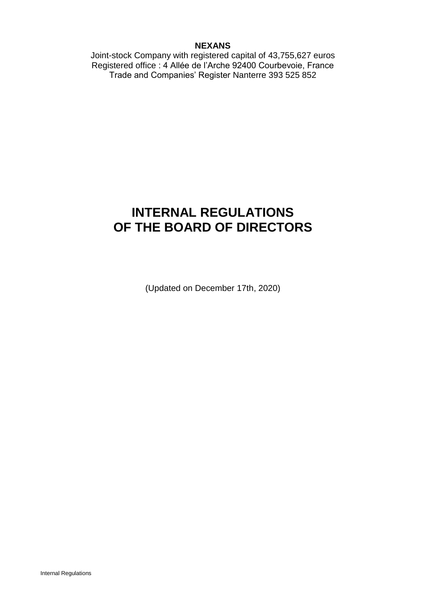## **NEXANS**

Joint-stock Company with registered capital of 43,755,627 euros Registered office : 4 Allée de l'Arche 92400 Courbevoie, France Trade and Companies' Register Nanterre 393 525 852

# **INTERNAL REGULATIONS OF THE BOARD OF DIRECTORS**

(Updated on December 17th, 2020)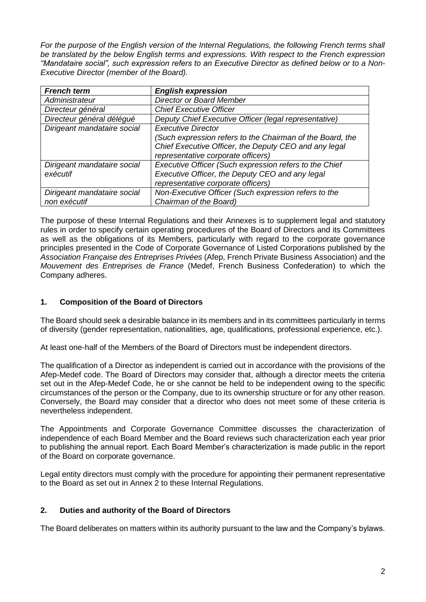*For the purpose of the English version of the Internal Regulations, the following French terms shall be translated by the below English terms and expressions. With respect to the French expression "Mandataire social", such expression refers to an Executive Director as defined below or to a Non-Executive Director (member of the Board).*

| <b>French term</b>          | <b>English expression</b>                                 |
|-----------------------------|-----------------------------------------------------------|
| Administrateur              | <b>Director or Board Member</b>                           |
| Directeur général           | <b>Chief Executive Officer</b>                            |
| Directeur général délégué   | Deputy Chief Executive Officer (legal representative)     |
| Dirigeant mandataire social | <b>Executive Director</b>                                 |
|                             | (Such expression refers to the Chairman of the Board, the |
|                             | Chief Executive Officer, the Deputy CEO and any legal     |
|                             | representative corporate officers)                        |
| Dirigeant mandataire social | Executive Officer (Such expression refers to the Chief    |
| exécutif                    | Executive Officer, the Deputy CEO and any legal           |
|                             | representative corporate officers)                        |
| Dirigeant mandataire social | Non-Executive Officer (Such expression refers to the      |
| non exécutif                | Chairman of the Board)                                    |

The purpose of these Internal Regulations and their Annexes is to supplement legal and statutory rules in order to specify certain operating procedures of the Board of Directors and its Committees as well as the obligations of its Members, particularly with regard to the corporate governance principles presented in the Code of Corporate Governance of Listed Corporations published by the *Association Française des Entreprises Privées* (Afep, French Private Business Association) and the *Mouvement des Entreprises de France* (Medef, French Business Confederation) to which the Company adheres.

# **1. Composition of the Board of Directors**

The Board should seek a desirable balance in its members and in its committees particularly in terms of diversity (gender representation, nationalities, age, qualifications, professional experience, etc.).

At least one-half of the Members of the Board of Directors must be independent directors.

The qualification of a Director as independent is carried out in accordance with the provisions of the Afep-Medef code. The Board of Directors may consider that, although a director meets the criteria set out in the Afep-Medef Code, he or she cannot be held to be independent owing to the specific circumstances of the person or the Company, due to its ownership structure or for any other reason. Conversely, the Board may consider that a director who does not meet some of these criteria is nevertheless independent.

The Appointments and Corporate Governance Committee discusses the characterization of independence of each Board Member and the Board reviews such characterization each year prior to publishing the annual report. Each Board Member's characterization is made public in the report of the Board on corporate governance.

Legal entity directors must comply with the procedure for appointing their permanent representative to the Board as set out in Annex 2 to these Internal Regulations.

# **2. Duties and authority of the Board of Directors**

The Board deliberates on matters within its authority pursuant to the law and the Company's bylaws.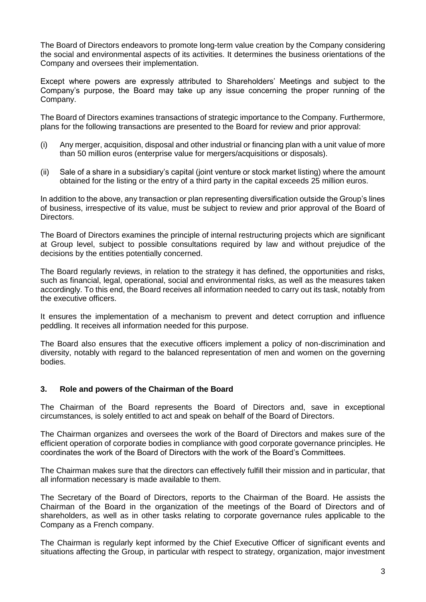The Board of Directors endeavors to promote long-term value creation by the Company considering the social and environmental aspects of its activities. It determines the business orientations of the Company and oversees their implementation.

Except where powers are expressly attributed to Shareholders' Meetings and subject to the Company's purpose, the Board may take up any issue concerning the proper running of the Company.

The Board of Directors examines transactions of strategic importance to the Company. Furthermore, plans for the following transactions are presented to the Board for review and prior approval:

- (i) Any merger, acquisition, disposal and other industrial or financing plan with a unit value of more than 50 million euros (enterprise value for mergers/acquisitions or disposals).
- (ii) Sale of a share in a subsidiary's capital (joint venture or stock market listing) where the amount obtained for the listing or the entry of a third party in the capital exceeds 25 million euros.

In addition to the above, any transaction or plan representing diversification outside the Group's lines of business, irrespective of its value, must be subject to review and prior approval of the Board of Directors.

The Board of Directors examines the principle of internal restructuring projects which are significant at Group level, subject to possible consultations required by law and without prejudice of the decisions by the entities potentially concerned.

The Board regularly reviews, in relation to the strategy it has defined, the opportunities and risks, such as financial, legal, operational, social and environmental risks, as well as the measures taken accordingly. To this end, the Board receives all information needed to carry out its task, notably from the executive officers.

It ensures the implementation of a mechanism to prevent and detect corruption and influence peddling. It receives all information needed for this purpose.

The Board also ensures that the executive officers implement a policy of non-discrimination and diversity, notably with regard to the balanced representation of men and women on the governing bodies.

## **3. Role and powers of the Chairman of the Board**

The Chairman of the Board represents the Board of Directors and, save in exceptional circumstances, is solely entitled to act and speak on behalf of the Board of Directors.

The Chairman organizes and oversees the work of the Board of Directors and makes sure of the efficient operation of corporate bodies in compliance with good corporate governance principles. He coordinates the work of the Board of Directors with the work of the Board's Committees.

The Chairman makes sure that the directors can effectively fulfill their mission and in particular, that all information necessary is made available to them.

The Secretary of the Board of Directors, reports to the Chairman of the Board. He assists the Chairman of the Board in the organization of the meetings of the Board of Directors and of shareholders, as well as in other tasks relating to corporate governance rules applicable to the Company as a French company.

The Chairman is regularly kept informed by the Chief Executive Officer of significant events and situations affecting the Group, in particular with respect to strategy, organization, major investment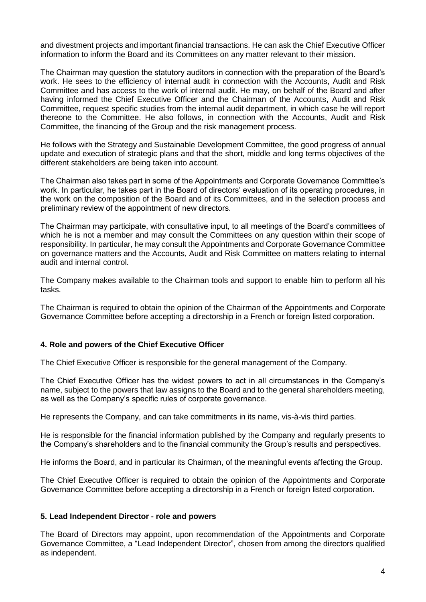and divestment projects and important financial transactions. He can ask the Chief Executive Officer information to inform the Board and its Committees on any matter relevant to their mission.

The Chairman may question the statutory auditors in connection with the preparation of the Board's work. He sees to the efficiency of internal audit in connection with the Accounts, Audit and Risk Committee and has access to the work of internal audit. He may, on behalf of the Board and after having informed the Chief Executive Officer and the Chairman of the Accounts, Audit and Risk Committee, request specific studies from the internal audit department, in which case he will report thereone to the Committee. He also follows, in connection with the Accounts, Audit and Risk Committee, the financing of the Group and the risk management process.

He follows with the Strategy and Sustainable Development Committee, the good progress of annual update and execution of strategic plans and that the short, middle and long terms objectives of the different stakeholders are being taken into account.

The Chairman also takes part in some of the Appointments and Corporate Governance Committee's work. In particular, he takes part in the Board of directors' evaluation of its operating procedures, in the work on the composition of the Board and of its Committees, and in the selection process and preliminary review of the appointment of new directors.

The Chairman may participate, with consultative input, to all meetings of the Board's committees of which he is not a member and may consult the Committees on any question within their scope of responsibility. In particular, he may consult the Appointments and Corporate Governance Committee on governance matters and the Accounts, Audit and Risk Committee on matters relating to internal audit and internal control.

The Company makes available to the Chairman tools and support to enable him to perform all his tasks.

The Chairman is required to obtain the opinion of the Chairman of the Appointments and Corporate Governance Committee before accepting a directorship in a French or foreign listed corporation.

## **4. Role and powers of the Chief Executive Officer**

The Chief Executive Officer is responsible for the general management of the Company.

The Chief Executive Officer has the widest powers to act in all circumstances in the Company's name, subject to the powers that law assigns to the Board and to the general shareholders meeting, as well as the Company's specific rules of corporate governance.

He represents the Company, and can take commitments in its name, vis-à-vis third parties.

He is responsible for the financial information published by the Company and regularly presents to the Company's shareholders and to the financial community the Group's results and perspectives.

He informs the Board, and in particular its Chairman, of the meaningful events affecting the Group.

The Chief Executive Officer is required to obtain the opinion of the Appointments and Corporate Governance Committee before accepting a directorship in a French or foreign listed corporation.

#### **5. Lead Independent Director - role and powers**

The Board of Directors may appoint, upon recommendation of the Appointments and Corporate Governance Committee, a "Lead Independent Director", chosen from among the directors qualified as independent.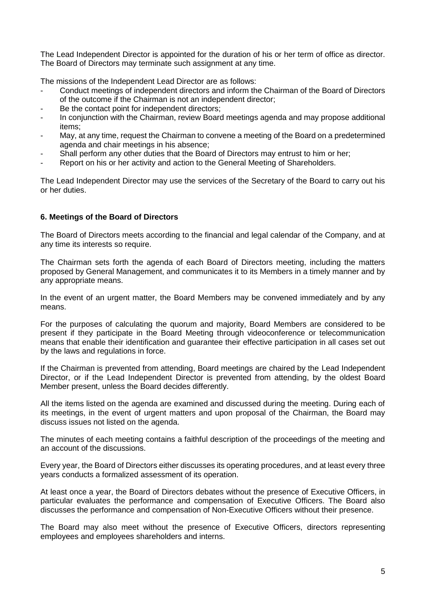The Lead Independent Director is appointed for the duration of his or her term of office as director. The Board of Directors may terminate such assignment at any time.

The missions of the Independent Lead Director are as follows:

- Conduct meetings of independent directors and inform the Chairman of the Board of Directors of the outcome if the Chairman is not an independent director;
- Be the contact point for independent directors:
- In conjunction with the Chairman, review Board meetings agenda and may propose additional items;
- May, at any time, request the Chairman to convene a meeting of the Board on a predetermined agenda and chair meetings in his absence;
- Shall perform any other duties that the Board of Directors may entrust to him or her;
- Report on his or her activity and action to the General Meeting of Shareholders.

The Lead Independent Director may use the services of the Secretary of the Board to carry out his or her duties.

#### **6. Meetings of the Board of Directors**

The Board of Directors meets according to the financial and legal calendar of the Company, and at any time its interests so require.

The Chairman sets forth the agenda of each Board of Directors meeting, including the matters proposed by General Management, and communicates it to its Members in a timely manner and by any appropriate means.

In the event of an urgent matter, the Board Members may be convened immediately and by any means.

For the purposes of calculating the quorum and majority, Board Members are considered to be present if they participate in the Board Meeting through videoconference or telecommunication means that enable their identification and guarantee their effective participation in all cases set out by the laws and regulations in force.

If the Chairman is prevented from attending, Board meetings are chaired by the Lead Independent Director, or if the Lead Independent Director is prevented from attending, by the oldest Board Member present, unless the Board decides differently.

All the items listed on the agenda are examined and discussed during the meeting. During each of its meetings, in the event of urgent matters and upon proposal of the Chairman, the Board may discuss issues not listed on the agenda.

The minutes of each meeting contains a faithful description of the proceedings of the meeting and an account of the discussions.

Every year, the Board of Directors either discusses its operating procedures, and at least every three years conducts a formalized assessment of its operation.

At least once a year, the Board of Directors debates without the presence of Executive Officers, in particular evaluates the performance and compensation of Executive Officers. The Board also discusses the performance and compensation of Non-Executive Officers without their presence.

The Board may also meet without the presence of Executive Officers, directors representing employees and employees shareholders and interns.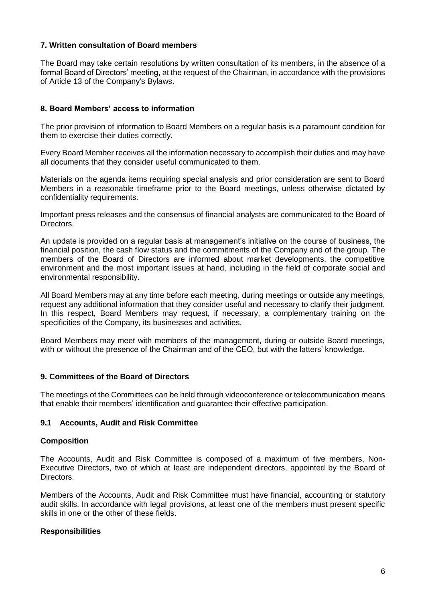## **7. Written consultation of Board members**

The Board may take certain resolutions by written consultation of its members, in the absence of a formal Board of Directors' meeting, at the request of the Chairman, in accordance with the provisions of Article 13 of the Company's Bylaws.

#### **8. Board Members' access to information**

The prior provision of information to Board Members on a regular basis is a paramount condition for them to exercise their duties correctly.

Every Board Member receives all the information necessary to accomplish their duties and may have all documents that they consider useful communicated to them.

Materials on the agenda items requiring special analysis and prior consideration are sent to Board Members in a reasonable timeframe prior to the Board meetings, unless otherwise dictated by confidentiality requirements.

Important press releases and the consensus of financial analysts are communicated to the Board of Directors.

An update is provided on a regular basis at management's initiative on the course of business, the financial position, the cash flow status and the commitments of the Company and of the group. The members of the Board of Directors are informed about market developments, the competitive environment and the most important issues at hand, including in the field of corporate social and environmental responsibility.

All Board Members may at any time before each meeting, during meetings or outside any meetings, request any additional information that they consider useful and necessary to clarify their judgment. In this respect, Board Members may request, if necessary, a complementary training on the specificities of the Company, its businesses and activities.

Board Members may meet with members of the management, during or outside Board meetings, with or without the presence of the Chairman and of the CEO, but with the latters' knowledge.

#### **9. Committees of the Board of Directors**

The meetings of the Committees can be held through videoconference or telecommunication means that enable their members' identification and guarantee their effective participation.

#### **9.1 Accounts, Audit and Risk Committee**

#### **Composition**

The Accounts, Audit and Risk Committee is composed of a maximum of five members, Non-Executive Directors, two of which at least are independent directors, appointed by the Board of Directors.

Members of the Accounts, Audit and Risk Committee must have financial, accounting or statutory audit skills. In accordance with legal provisions, at least one of the members must present specific skills in one or the other of these fields.

#### **Responsibilities**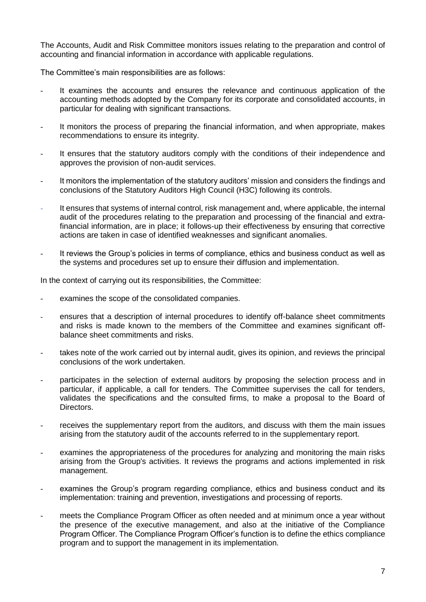The Accounts, Audit and Risk Committee monitors issues relating to the preparation and control of accounting and financial information in accordance with applicable regulations.

The Committee's main responsibilities are as follows:

- It examines the accounts and ensures the relevance and continuous application of the accounting methods adopted by the Company for its corporate and consolidated accounts, in particular for dealing with significant transactions.
- It monitors the process of preparing the financial information, and when appropriate, makes recommendations to ensure its integrity.
- It ensures that the statutory auditors comply with the conditions of their independence and approves the provision of non-audit services.
- It monitors the implementation of the statutory auditors' mission and considers the findings and conclusions of the Statutory Auditors High Council (H3C) following its controls.
- It ensures that systems of internal control, risk management and, where applicable, the internal audit of the procedures relating to the preparation and processing of the financial and extrafinancial information, are in place; it follows-up their effectiveness by ensuring that corrective actions are taken in case of identified weaknesses and significant anomalies.
- It reviews the Group's policies in terms of compliance, ethics and business conduct as well as the systems and procedures set up to ensure their diffusion and implementation.

In the context of carrying out its responsibilities, the Committee:

- examines the scope of the consolidated companies.
- ensures that a description of internal procedures to identify off-balance sheet commitments and risks is made known to the members of the Committee and examines significant offbalance sheet commitments and risks.
- takes note of the work carried out by internal audit, gives its opinion, and reviews the principal conclusions of the work undertaken.
- participates in the selection of external auditors by proposing the selection process and in particular, if applicable, a call for tenders. The Committee supervises the call for tenders, validates the specifications and the consulted firms, to make a proposal to the Board of Directors.
- receives the supplementary report from the auditors, and discuss with them the main issues arising from the statutory audit of the accounts referred to in the supplementary report.
- examines the appropriateness of the procedures for analyzing and monitoring the main risks arising from the Group's activities. It reviews the programs and actions implemented in risk management.
- examines the Group's program regarding compliance, ethics and business conduct and its implementation: training and prevention, investigations and processing of reports.
- meets the Compliance Program Officer as often needed and at minimum once a vear without the presence of the executive management, and also at the initiative of the Compliance Program Officer. The Compliance Program Officer's function is to define the ethics compliance program and to support the management in its implementation.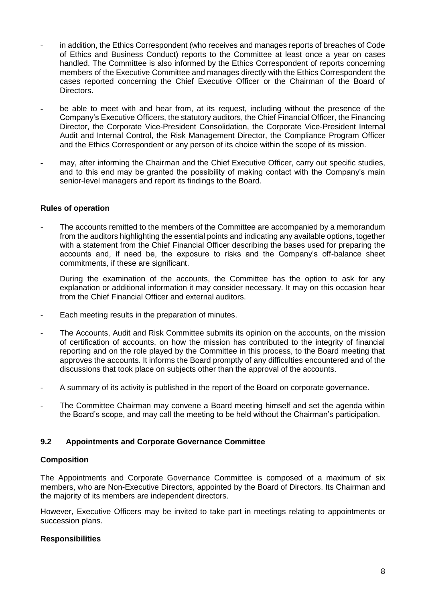- in addition, the Ethics Correspondent (who receives and manages reports of breaches of Code of Ethics and Business Conduct) reports to the Committee at least once a year on cases handled. The Committee is also informed by the Ethics Correspondent of reports concerning members of the Executive Committee and manages directly with the Ethics Correspondent the cases reported concerning the Chief Executive Officer or the Chairman of the Board of Directors.
- be able to meet with and hear from, at its request, including without the presence of the Company's Executive Officers, the statutory auditors, the Chief Financial Officer, the Financing Director, the Corporate Vice-President Consolidation, the Corporate Vice-President Internal Audit and Internal Control, the Risk Management Director, the Compliance Program Officer and the Ethics Correspondent or any person of its choice within the scope of its mission.
- may, after informing the Chairman and the Chief Executive Officer, carry out specific studies, and to this end may be granted the possibility of making contact with the Company's main senior-level managers and report its findings to the Board.

## **Rules of operation**

The accounts remitted to the members of the Committee are accompanied by a memorandum from the auditors highlighting the essential points and indicating any available options, together with a statement from the Chief Financial Officer describing the bases used for preparing the accounts and, if need be, the exposure to risks and the Company's off-balance sheet commitments, if these are significant.

During the examination of the accounts, the Committee has the option to ask for any explanation or additional information it may consider necessary. It may on this occasion hear from the Chief Financial Officer and external auditors.

- Each meeting results in the preparation of minutes.
- The Accounts, Audit and Risk Committee submits its opinion on the accounts, on the mission of certification of accounts, on how the mission has contributed to the integrity of financial reporting and on the role played by the Committee in this process, to the Board meeting that approves the accounts. It informs the Board promptly of any difficulties encountered and of the discussions that took place on subjects other than the approval of the accounts.
- A summary of its activity is published in the report of the Board on corporate governance.
- The Committee Chairman may convene a Board meeting himself and set the agenda within the Board's scope, and may call the meeting to be held without the Chairman's participation.

## **9.2 Appointments and Corporate Governance Committee**

#### **Composition**

The Appointments and Corporate Governance Committee is composed of a maximum of six members, who are Non-Executive Directors, appointed by the Board of Directors. Its Chairman and the majority of its members are independent directors.

However, Executive Officers may be invited to take part in meetings relating to appointments or succession plans.

## **Responsibilities**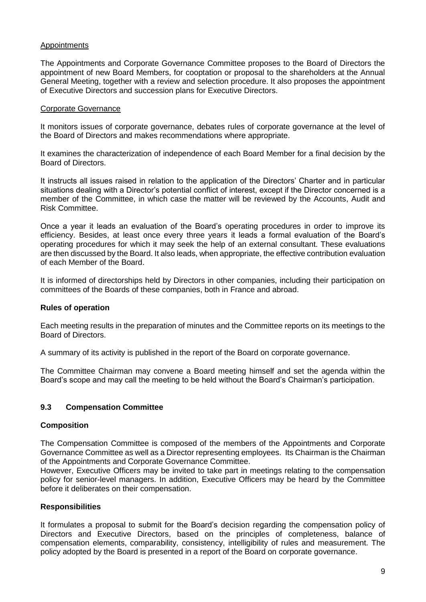## **Appointments**

The Appointments and Corporate Governance Committee proposes to the Board of Directors the appointment of new Board Members, for cooptation or proposal to the shareholders at the Annual General Meeting, together with a review and selection procedure. It also proposes the appointment of Executive Directors and succession plans for Executive Directors.

## Corporate Governance

It monitors issues of corporate governance, debates rules of corporate governance at the level of the Board of Directors and makes recommendations where appropriate.

It examines the characterization of independence of each Board Member for a final decision by the Board of Directors.

It instructs all issues raised in relation to the application of the Directors' Charter and in particular situations dealing with a Director's potential conflict of interest, except if the Director concerned is a member of the Committee, in which case the matter will be reviewed by the Accounts, Audit and Risk Committee.

Once a year it leads an evaluation of the Board's operating procedures in order to improve its efficiency. Besides, at least once every three years it leads a formal evaluation of the Board's operating procedures for which it may seek the help of an external consultant. These evaluations are then discussed by the Board. It also leads, when appropriate, the effective contribution evaluation of each Member of the Board.

It is informed of directorships held by Directors in other companies, including their participation on committees of the Boards of these companies, both in France and abroad.

## **Rules of operation**

Each meeting results in the preparation of minutes and the Committee reports on its meetings to the Board of Directors.

A summary of its activity is published in the report of the Board on corporate governance.

The Committee Chairman may convene a Board meeting himself and set the agenda within the Board's scope and may call the meeting to be held without the Board's Chairman's participation.

# **9.3 Compensation Committee**

## **Composition**

The Compensation Committee is composed of the members of the Appointments and Corporate Governance Committee as well as a Director representing employees. Its Chairman is the Chairman of the Appointments and Corporate Governance Committee.

However, Executive Officers may be invited to take part in meetings relating to the compensation policy for senior-level managers. In addition, Executive Officers may be heard by the Committee before it deliberates on their compensation.

## **Responsibilities**

It formulates a proposal to submit for the Board's decision regarding the compensation policy of Directors and Executive Directors, based on the principles of completeness, balance of compensation elements, comparability, consistency, intelligibility of rules and measurement. The policy adopted by the Board is presented in a report of the Board on corporate governance.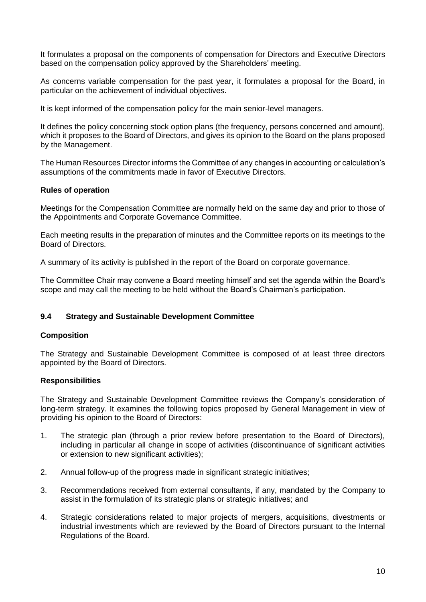It formulates a proposal on the components of compensation for Directors and Executive Directors based on the compensation policy approved by the Shareholders' meeting.

As concerns variable compensation for the past year, it formulates a proposal for the Board, in particular on the achievement of individual objectives.

It is kept informed of the compensation policy for the main senior-level managers.

It defines the policy concerning stock option plans (the frequency, persons concerned and amount), which it proposes to the Board of Directors, and gives its opinion to the Board on the plans proposed by the Management.

The Human Resources Director informs the Committee of any changes in accounting or calculation's assumptions of the commitments made in favor of Executive Directors.

## **Rules of operation**

Meetings for the Compensation Committee are normally held on the same day and prior to those of the Appointments and Corporate Governance Committee.

Each meeting results in the preparation of minutes and the Committee reports on its meetings to the Board of Directors.

A summary of its activity is published in the report of the Board on corporate governance.

The Committee Chair may convene a Board meeting himself and set the agenda within the Board's scope and may call the meeting to be held without the Board's Chairman's participation.

## **9.4 Strategy and Sustainable Development Committee**

## **Composition**

The Strategy and Sustainable Development Committee is composed of at least three directors appointed by the Board of Directors.

## **Responsibilities**

The Strategy and Sustainable Development Committee reviews the Company's consideration of long-term strategy. It examines the following topics proposed by General Management in view of providing his opinion to the Board of Directors:

- 1. The strategic plan (through a prior review before presentation to the Board of Directors), including in particular all change in scope of activities (discontinuance of significant activities or extension to new significant activities);
- 2. Annual follow-up of the progress made in significant strategic initiatives;
- 3. Recommendations received from external consultants, if any, mandated by the Company to assist in the formulation of its strategic plans or strategic initiatives; and
- 4. Strategic considerations related to major projects of mergers, acquisitions, divestments or industrial investments which are reviewed by the Board of Directors pursuant to the Internal Regulations of the Board.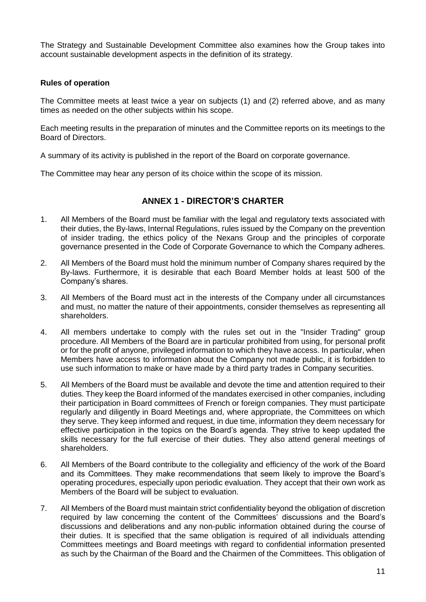The Strategy and Sustainable Development Committee also examines how the Group takes into account sustainable development aspects in the definition of its strategy.

## **Rules of operation**

The Committee meets at least twice a year on subjects (1) and (2) referred above, and as many times as needed on the other subjects within his scope.

Each meeting results in the preparation of minutes and the Committee reports on its meetings to the Board of Directors.

A summary of its activity is published in the report of the Board on corporate governance.

The Committee may hear any person of its choice within the scope of its mission.

# **ANNEX 1 - DIRECTOR'S CHARTER**

- 1. All Members of the Board must be familiar with the legal and regulatory texts associated with their duties, the By-laws, Internal Regulations, rules issued by the Company on the prevention of insider trading, the ethics policy of the Nexans Group and the principles of corporate governance presented in the Code of Corporate Governance to which the Company adheres.
- 2. All Members of the Board must hold the minimum number of Company shares required by the By-laws. Furthermore, it is desirable that each Board Member holds at least 500 of the Company's shares.
- 3. All Members of the Board must act in the interests of the Company under all circumstances and must, no matter the nature of their appointments, consider themselves as representing all shareholders.
- 4. All members undertake to comply with the rules set out in the "Insider Trading" group procedure. All Members of the Board are in particular prohibited from using, for personal profit or for the profit of anyone, privileged information to which they have access. In particular, when Members have access to information about the Company not made public, it is forbidden to use such information to make or have made by a third party trades in Company securities.
- 5. All Members of the Board must be available and devote the time and attention required to their duties. They keep the Board informed of the mandates exercised in other companies, including their participation in Board committees of French or foreign companies. They must participate regularly and diligently in Board Meetings and, where appropriate, the Committees on which they serve. They keep informed and request, in due time, information they deem necessary for effective participation in the topics on the Board's agenda. They strive to keep updated the skills necessary for the full exercise of their duties. They also attend general meetings of shareholders.
- 6. All Members of the Board contribute to the collegiality and efficiency of the work of the Board and its Committees. They make recommendations that seem likely to improve the Board's operating procedures, especially upon periodic evaluation. They accept that their own work as Members of the Board will be subject to evaluation.
- 7. All Members of the Board must maintain strict confidentiality beyond the obligation of discretion required by law concerning the content of the Committees' discussions and the Board's discussions and deliberations and any non-public information obtained during the course of their duties. It is specified that the same obligation is required of all individuals attending Committees meetings and Board meetings with regard to confidential information presented as such by the Chairman of the Board and the Chairmen of the Committees. This obligation of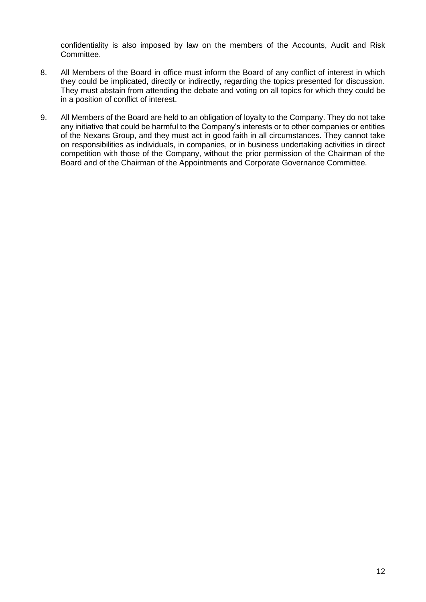confidentiality is also imposed by law on the members of the Accounts, Audit and Risk Committee.

- 8. All Members of the Board in office must inform the Board of any conflict of interest in which they could be implicated, directly or indirectly, regarding the topics presented for discussion. They must abstain from attending the debate and voting on all topics for which they could be in a position of conflict of interest.
- 9. All Members of the Board are held to an obligation of loyalty to the Company. They do not take any initiative that could be harmful to the Company's interests or to other companies or entities of the Nexans Group, and they must act in good faith in all circumstances. They cannot take on responsibilities as individuals, in companies, or in business undertaking activities in direct competition with those of the Company, without the prior permission of the Chairman of the Board and of the Chairman of the Appointments and Corporate Governance Committee.